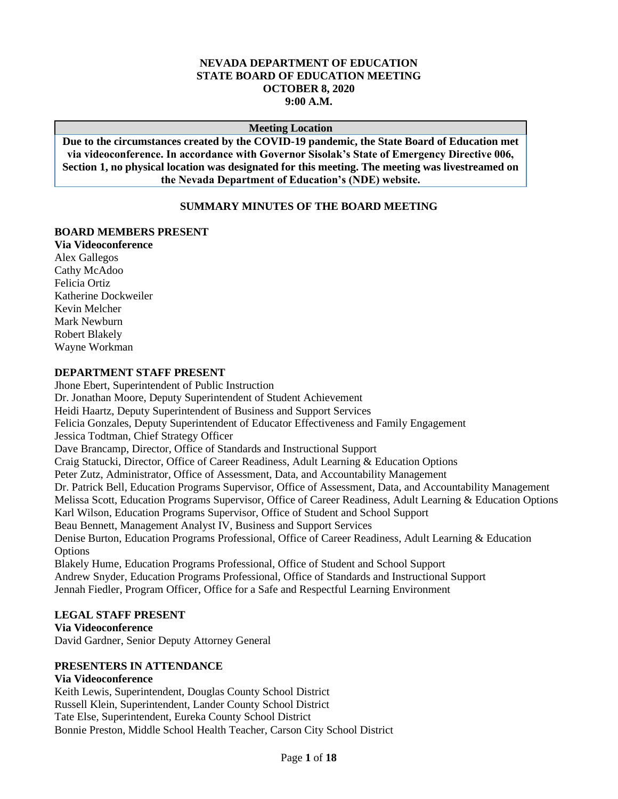### **NEVADA DEPARTMENT OF EDUCATION STATE BOARD OF EDUCATION MEETING OCTOBER 8, 2020 9:00 A.M.**

#### **Meeting Location**

**Due to the circumstances created by the COVID-19 pandemic, the State Board of Education met via videoconference. In accordance with Governor Sisolak's State of Emergency Directive 006, Section 1, no physical location was designated for this meeting. The meeting was livestreamed on the Nevada Department of Education's (NDE) website.**

#### **SUMMARY MINUTES OF THE BOARD MEETING**

#### **BOARD MEMBERS PRESENT**

**Via Videoconference** Alex Gallegos Cathy McAdoo Felicia Ortiz Katherine Dockweiler Kevin Melcher Mark Newburn Robert Blakely Wayne Workman

#### **DEPARTMENT STAFF PRESENT**

Jhone Ebert, Superintendent of Public Instruction Dr. Jonathan Moore, Deputy Superintendent of Student Achievement Heidi Haartz, Deputy Superintendent of Business and Support Services Felicia Gonzales, Deputy Superintendent of Educator Effectiveness and Family Engagement Jessica Todtman, Chief Strategy Officer Dave Brancamp, Director, Office of Standards and Instructional Support Craig Statucki, Director, Office of Career Readiness, Adult Learning & Education Options Peter Zutz, Administrator, Office of Assessment, Data, and Accountability Management Dr. Patrick Bell, Education Programs Supervisor, Office of Assessment, Data, and Accountability Management Melissa Scott, Education Programs Supervisor, Office of Career Readiness, Adult Learning & Education Options Karl Wilson, Education Programs Supervisor, Office of Student and School Support Beau Bennett, Management Analyst IV, Business and Support Services Denise Burton, Education Programs Professional, Office of Career Readiness, Adult Learning & Education **Options** Blakely Hume, Education Programs Professional, Office of Student and School Support Andrew Snyder, Education Programs Professional, Office of Standards and Instructional Support Jennah Fiedler, Program Officer, Office for a Safe and Respectful Learning Environment

### **LEGAL STAFF PRESENT**

**Via Videoconference** David Gardner, Senior Deputy Attorney General

### **PRESENTERS IN ATTENDANCE**

#### **Via Videoconference**

Keith Lewis, Superintendent, Douglas County School District Russell Klein, Superintendent, Lander County School District Tate Else, Superintendent, Eureka County School District Bonnie Preston, Middle School Health Teacher, Carson City School District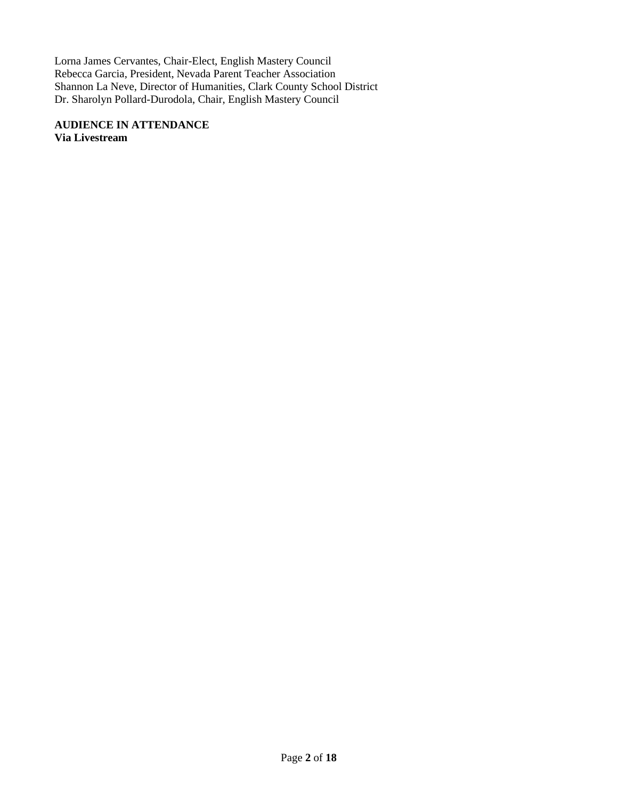Lorna James Cervantes, Chair-Elect, English Mastery Council Rebecca Garcia, President, Nevada Parent Teacher Association Shannon La Neve, Director of Humanities, Clark County School District Dr. Sharolyn Pollard-Durodola, Chair, English Mastery Council

**AUDIENCE IN ATTENDANCE Via Livestream**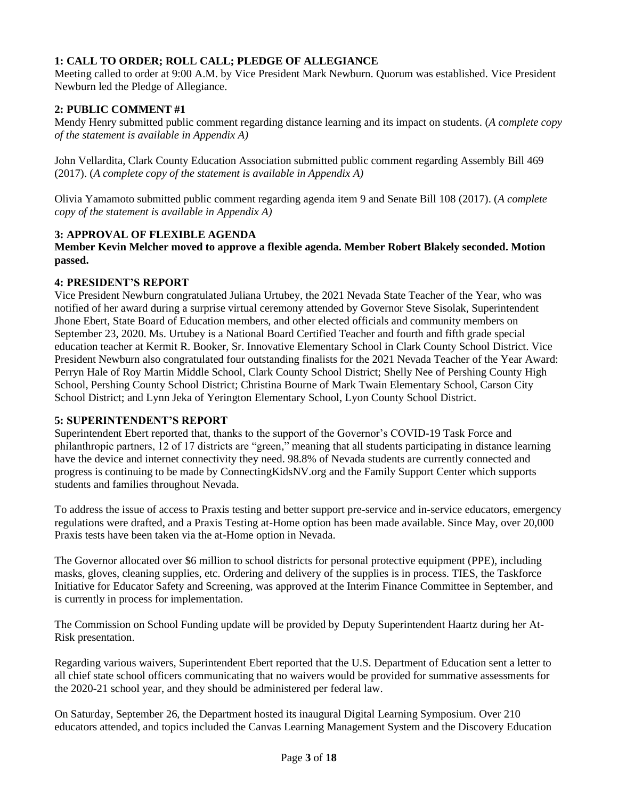# **1: CALL TO ORDER; ROLL CALL; PLEDGE OF ALLEGIANCE**

Meeting called to order at 9:00 A.M. by Vice President Mark Newburn. Quorum was established. Vice President Newburn led the Pledge of Allegiance.

### **2: PUBLIC COMMENT #1**

Mendy Henry submitted public comment regarding distance learning and its impact on students. (*A complete copy of the statement is available in Appendix A)*

John Vellardita, Clark County Education Association submitted public comment regarding Assembly Bill 469 (2017). (*A complete copy of the statement is available in Appendix A)*

Olivia Yamamoto submitted public comment regarding agenda item 9 and Senate Bill 108 (2017). (*A complete copy of the statement is available in Appendix A)*

### **3: APPROVAL OF FLEXIBLE AGENDA**

**Member Kevin Melcher moved to approve a flexible agenda. Member Robert Blakely seconded. Motion passed.**

### **4: PRESIDENT'S REPORT**

Vice President Newburn congratulated Juliana Urtubey, the 2021 Nevada State Teacher of the Year, who was notified of her award during a surprise virtual ceremony attended by Governor Steve Sisolak, Superintendent Jhone Ebert, State Board of Education members, and other elected officials and community members on September 23, 2020. Ms. Urtubey is a National Board Certified Teacher and fourth and fifth grade special education teacher at Kermit R. Booker, Sr. Innovative Elementary School in Clark County School District. Vice President Newburn also congratulated four outstanding finalists for the 2021 Nevada Teacher of the Year Award: Perryn Hale of Roy Martin Middle School, Clark County School District; Shelly Nee of Pershing County High School, Pershing County School District; Christina Bourne of Mark Twain Elementary School, Carson City School District; and Lynn Jeka of Yerington Elementary School, Lyon County School District.

### **5: SUPERINTENDENT'S REPORT**

Superintendent Ebert reported that, thanks to the support of the Governor's COVID-19 Task Force and philanthropic partners, 12 of 17 districts are "green," meaning that all students participating in distance learning have the device and internet connectivity they need. 98.8% of Nevada students are currently connected and progress is continuing to be made by ConnectingKidsNV.org and the Family Support Center which supports students and families throughout Nevada.

To address the issue of access to Praxis testing and better support pre-service and in-service educators, emergency regulations were drafted, and a Praxis Testing at-Home option has been made available. Since May, over 20,000 Praxis tests have been taken via the at-Home option in Nevada.

The Governor allocated over \$6 million to school districts for personal protective equipment (PPE), including masks, gloves, cleaning supplies, etc. Ordering and delivery of the supplies is in process. TIES, the Taskforce Initiative for Educator Safety and Screening, was approved at the Interim Finance Committee in September, and is currently in process for implementation.

The Commission on School Funding update will be provided by Deputy Superintendent Haartz during her At-Risk presentation.

Regarding various waivers, Superintendent Ebert reported that the U.S. Department of Education sent a letter to all chief state school officers communicating that no waivers would be provided for summative assessments for the 2020-21 school year, and they should be administered per federal law.

On Saturday, September 26, the Department hosted its inaugural Digital Learning Symposium. Over 210 educators attended, and topics included the Canvas Learning Management System and the Discovery Education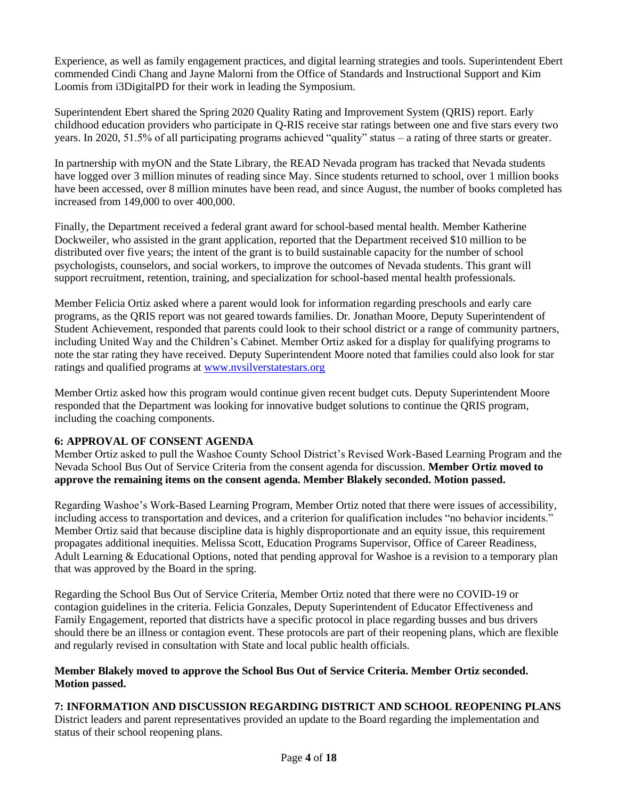Experience, as well as family engagement practices, and digital learning strategies and tools. Superintendent Ebert commended Cindi Chang and Jayne Malorni from the Office of Standards and Instructional Support and Kim Loomis from i3DigitalPD for their work in leading the Symposium.

Superintendent Ebert shared the Spring 2020 Quality Rating and Improvement System (QRIS) report. Early childhood education providers who participate in Q-RIS receive star ratings between one and five stars every two years. In 2020, 51.5% of all participating programs achieved "quality" status – a rating of three starts or greater.

In partnership with myON and the State Library, the READ Nevada program has tracked that Nevada students have logged over 3 million minutes of reading since May. Since students returned to school, over 1 million books have been accessed, over 8 million minutes have been read, and since August, the number of books completed has increased from 149,000 to over 400,000.

Finally, the Department received a federal grant award for school-based mental health. Member Katherine Dockweiler, who assisted in the grant application, reported that the Department received \$10 million to be distributed over five years; the intent of the grant is to build sustainable capacity for the number of school psychologists, counselors, and social workers, to improve the outcomes of Nevada students. This grant will support recruitment, retention, training, and specialization for school-based mental health professionals.

Member Felicia Ortiz asked where a parent would look for information regarding preschools and early care programs, as the QRIS report was not geared towards families. Dr. Jonathan Moore, Deputy Superintendent of Student Achievement, responded that parents could look to their school district or a range of community partners, including United Way and the Children's Cabinet. Member Ortiz asked for a display for qualifying programs to note the star rating they have received. Deputy Superintendent Moore noted that families could also look for star ratings and qualified programs at [www.nvsilverstatestars.org](http://www.nvsilverstatestars.org/)

Member Ortiz asked how this program would continue given recent budget cuts. Deputy Superintendent Moore responded that the Department was looking for innovative budget solutions to continue the QRIS program, including the coaching components.

# **6: APPROVAL OF CONSENT AGENDA**

Member Ortiz asked to pull the Washoe County School District's Revised Work-Based Learning Program and the Nevada School Bus Out of Service Criteria from the consent agenda for discussion. **Member Ortiz moved to approve the remaining items on the consent agenda. Member Blakely seconded. Motion passed.** 

Regarding Washoe's Work-Based Learning Program, Member Ortiz noted that there were issues of accessibility, including access to transportation and devices, and a criterion for qualification includes "no behavior incidents." Member Ortiz said that because discipline data is highly disproportionate and an equity issue, this requirement propagates additional inequities. Melissa Scott, Education Programs Supervisor, Office of Career Readiness, Adult Learning & Educational Options, noted that pending approval for Washoe is a revision to a temporary plan that was approved by the Board in the spring.

Regarding the School Bus Out of Service Criteria, Member Ortiz noted that there were no COVID-19 or contagion guidelines in the criteria. Felicia Gonzales, Deputy Superintendent of Educator Effectiveness and Family Engagement, reported that districts have a specific protocol in place regarding busses and bus drivers should there be an illness or contagion event. These protocols are part of their reopening plans, which are flexible and regularly revised in consultation with State and local public health officials.

### **Member Blakely moved to approve the School Bus Out of Service Criteria. Member Ortiz seconded. Motion passed.**

# **7: INFORMATION AND DISCUSSION REGARDING DISTRICT AND SCHOOL REOPENING PLANS**

District leaders and parent representatives provided an update to the Board regarding the implementation and status of their school reopening plans.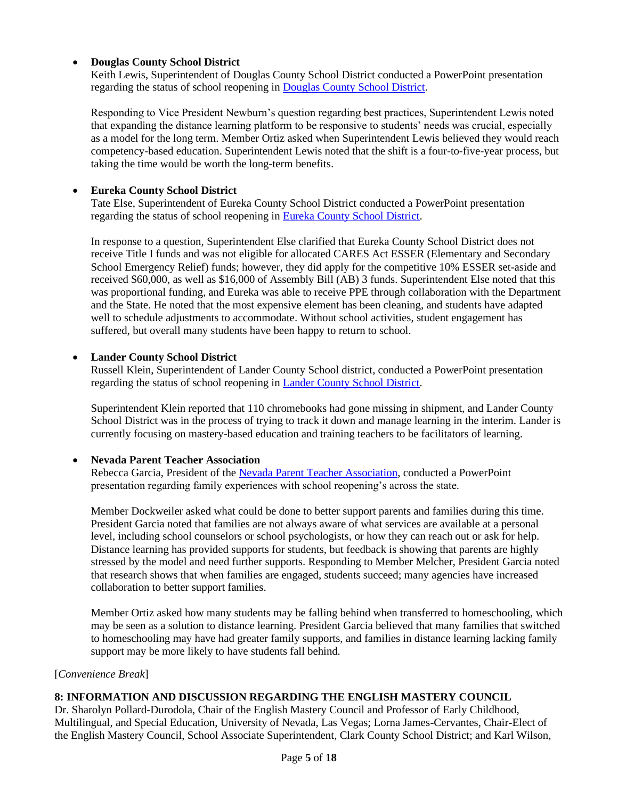# • **Douglas County School District**

Keith Lewis, Superintendent of Douglas County School District conducted a PowerPoint presentation regarding the status of school reopening in [Douglas County School District.](http://www.doe.nv.gov/uploadedFiles/ndedoenvgov/content/Boards_Commissions_Councils/State_Board_of_Education/2020/October/Douglas_CSD_Presentation.pdf)

Responding to Vice President Newburn's question regarding best practices, Superintendent Lewis noted that expanding the distance learning platform to be responsive to students' needs was crucial, especially as a model for the long term. Member Ortiz asked when Superintendent Lewis believed they would reach competency-based education. Superintendent Lewis noted that the shift is a four-to-five-year process, but taking the time would be worth the long-term benefits.

### • **Eureka County School District**

Tate Else, Superintendent of Eureka County School District conducted a PowerPoint presentation regarding the status of school reopening in [Eureka County School District.](http://www.doe.nv.gov/uploadedFiles/ndedoenvgov/content/Boards_Commissions_Councils/State_Board_of_Education/2020/October/Eureka_CSD_Presentation.pdf)

In response to a question, Superintendent Else clarified that Eureka County School District does not receive Title I funds and was not eligible for allocated CARES Act ESSER (Elementary and Secondary School Emergency Relief) funds; however, they did apply for the competitive 10% ESSER set-aside and received \$60,000, as well as \$16,000 of Assembly Bill (AB) 3 funds. Superintendent Else noted that this was proportional funding, and Eureka was able to receive PPE through collaboration with the Department and the State. He noted that the most expensive element has been cleaning, and students have adapted well to schedule adjustments to accommodate. Without school activities, student engagement has suffered, but overall many students have been happy to return to school.

### • **Lander County School District**

Russell Klein, Superintendent of Lander County School district, conducted a PowerPoint presentation regarding the status of school reopening in [Lander County School District.](http://www.doe.nv.gov/uploadedFiles/ndedoenvgov/content/Boards_Commissions_Councils/State_Board_of_Education/2020/October/Lander_CSD_2020-10-08.pdf)

Superintendent Klein reported that 110 chromebooks had gone missing in shipment, and Lander County School District was in the process of trying to track it down and manage learning in the interim. Lander is currently focusing on mastery-based education and training teachers to be facilitators of learning.

### • **Nevada Parent Teacher Association**

Rebecca Garcia, President of the [Nevada Parent Teacher Association,](http://www.doe.nv.gov/uploadedFiles/ndedoenvgov/content/Boards_Commissions_Councils/State_Board_of_Education/2020/October/Nevada_PTA_SBE_Presentation.pdf) conducted a PowerPoint presentation regarding family experiences with school reopening's across the state.

Member Dockweiler asked what could be done to better support parents and families during this time. President Garcia noted that families are not always aware of what services are available at a personal level, including school counselors or school psychologists, or how they can reach out or ask for help. Distance learning has provided supports for students, but feedback is showing that parents are highly stressed by the model and need further supports. Responding to Member Melcher, President Garcia noted that research shows that when families are engaged, students succeed; many agencies have increased collaboration to better support families.

Member Ortiz asked how many students may be falling behind when transferred to homeschooling, which may be seen as a solution to distance learning. President Garcia believed that many families that switched to homeschooling may have had greater family supports, and families in distance learning lacking family support may be more likely to have students fall behind.

### [*Convenience Break*]

# **8: INFORMATION AND DISCUSSION REGARDING THE ENGLISH MASTERY COUNCIL**

Dr. Sharolyn Pollard-Durodola, Chair of the English Mastery Council and Professor of Early Childhood, Multilingual, and Special Education, University of Nevada, Las Vegas; Lorna James-Cervantes, Chair-Elect of the English Mastery Council, School Associate Superintendent, Clark County School District; and Karl Wilson,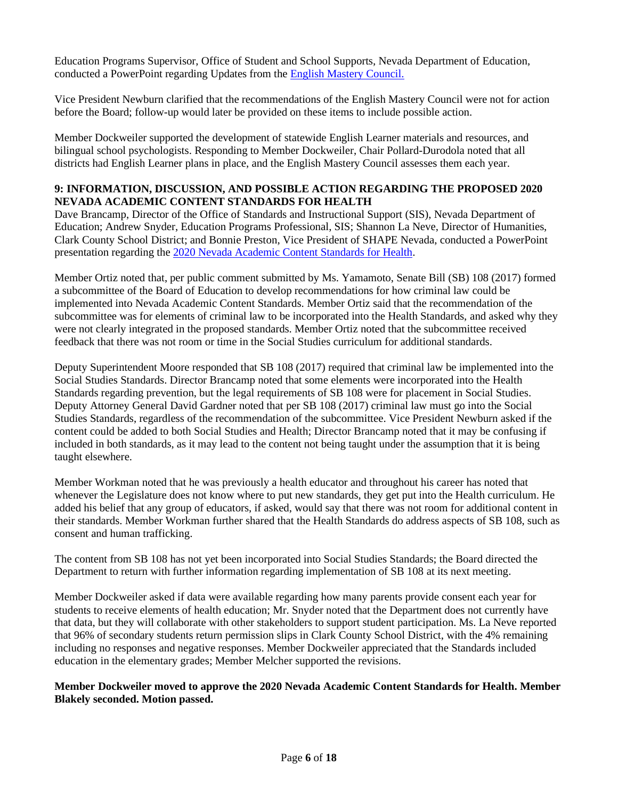Education Programs Supervisor, Office of Student and School Supports, Nevada Department of Education, conducted a PowerPoint regarding Updates from the [English Mastery Council.](http://www.doe.nv.gov/uploadedFiles/ndedoenvgov/content/Boards_Commissions_Councils/State_Board_of_Education/2020/October/SBE_EMC_Presentation_Oct_8_FINAL.pdf)

Vice President Newburn clarified that the recommendations of the English Mastery Council were not for action before the Board; follow-up would later be provided on these items to include possible action.

Member Dockweiler supported the development of statewide English Learner materials and resources, and bilingual school psychologists. Responding to Member Dockweiler, Chair Pollard-Durodola noted that all districts had English Learner plans in place, and the English Mastery Council assesses them each year.

## **9: INFORMATION, DISCUSSION, AND POSSIBLE ACTION REGARDING THE PROPOSED 2020 NEVADA ACADEMIC CONTENT STANDARDS FOR HEALTH**

Dave Brancamp, Director of the Office of Standards and Instructional Support (SIS), Nevada Department of Education; Andrew Snyder, Education Programs Professional, SIS; Shannon La Neve, Director of Humanities, Clark County School District; and Bonnie Preston, Vice President of SHAPE Nevada, conducted a PowerPoint presentation regarding the [2020 Nevada Academic Content Standards for Health.](http://www.doe.nv.gov/uploadedFiles/ndedoenvgov/content/Boards_Commissions_Councils/State_Board_of_Education/2020/October/SBE%20NVACS%20for%20Health%20Presentation%202020_JM-FINAL%209.29.2020.pdf)

Member Ortiz noted that, per public comment submitted by Ms. Yamamoto, Senate Bill (SB) 108 (2017) formed a subcommittee of the Board of Education to develop recommendations for how criminal law could be implemented into Nevada Academic Content Standards. Member Ortiz said that the recommendation of the subcommittee was for elements of criminal law to be incorporated into the Health Standards, and asked why they were not clearly integrated in the proposed standards. Member Ortiz noted that the subcommittee received feedback that there was not room or time in the Social Studies curriculum for additional standards.

Deputy Superintendent Moore responded that SB 108 (2017) required that criminal law be implemented into the Social Studies Standards. Director Brancamp noted that some elements were incorporated into the Health Standards regarding prevention, but the legal requirements of SB 108 were for placement in Social Studies. Deputy Attorney General David Gardner noted that per SB 108 (2017) criminal law must go into the Social Studies Standards, regardless of the recommendation of the subcommittee. Vice President Newburn asked if the content could be added to both Social Studies and Health; Director Brancamp noted that it may be confusing if included in both standards, as it may lead to the content not being taught under the assumption that it is being taught elsewhere.

Member Workman noted that he was previously a health educator and throughout his career has noted that whenever the Legislature does not know where to put new standards, they get put into the Health curriculum. He added his belief that any group of educators, if asked, would say that there was not room for additional content in their standards. Member Workman further shared that the Health Standards do address aspects of SB 108, such as consent and human trafficking.

The content from SB 108 has not yet been incorporated into Social Studies Standards; the Board directed the Department to return with further information regarding implementation of SB 108 at its next meeting.

Member Dockweiler asked if data were available regarding how many parents provide consent each year for students to receive elements of health education; Mr. Snyder noted that the Department does not currently have that data, but they will collaborate with other stakeholders to support student participation. Ms. La Neve reported that 96% of secondary students return permission slips in Clark County School District, with the 4% remaining including no responses and negative responses. Member Dockweiler appreciated that the Standards included education in the elementary grades; Member Melcher supported the revisions.

**Member Dockweiler moved to approve the 2020 Nevada Academic Content Standards for Health. Member Blakely seconded. Motion passed.**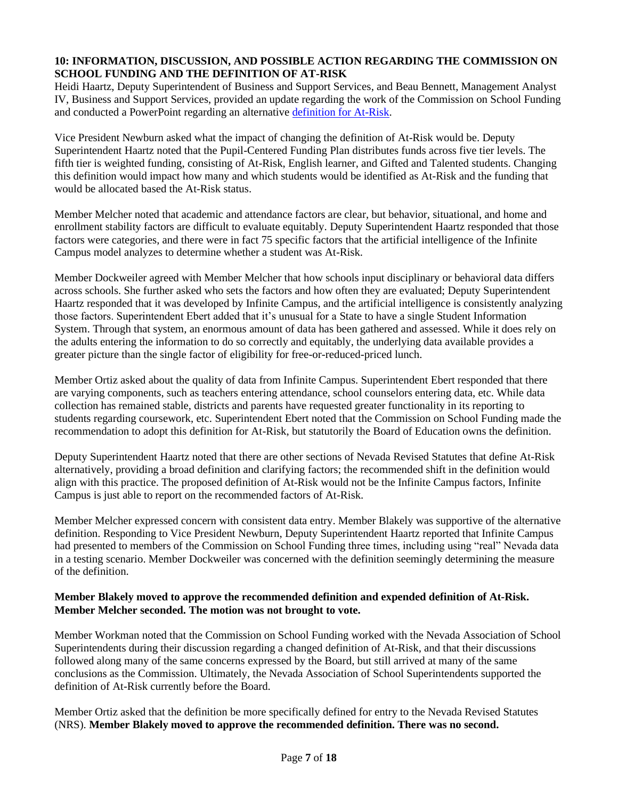### **10: INFORMATION, DISCUSSION, AND POSSIBLE ACTION REGARDING THE COMMISSION ON SCHOOL FUNDING AND THE DEFINITION OF AT-RISK**

Heidi Haartz, Deputy Superintendent of Business and Support Services, and Beau Bennett, Management Analyst IV, Business and Support Services, provided an update regarding the work of the Commission on School Funding and conducted a PowerPoint regarding an alternative [definition for At-Risk.](http://www.doe.nv.gov/uploadedFiles/ndedoenvgov/content/Boards_Commissions_Councils/State_Board_of_Education/2020/October/At_Risk_Definition_10-8-20.pdf)

Vice President Newburn asked what the impact of changing the definition of At-Risk would be. Deputy Superintendent Haartz noted that the Pupil-Centered Funding Plan distributes funds across five tier levels. The fifth tier is weighted funding, consisting of At-Risk, English learner, and Gifted and Talented students. Changing this definition would impact how many and which students would be identified as At-Risk and the funding that would be allocated based the At-Risk status.

Member Melcher noted that academic and attendance factors are clear, but behavior, situational, and home and enrollment stability factors are difficult to evaluate equitably. Deputy Superintendent Haartz responded that those factors were categories, and there were in fact 75 specific factors that the artificial intelligence of the Infinite Campus model analyzes to determine whether a student was At-Risk.

Member Dockweiler agreed with Member Melcher that how schools input disciplinary or behavioral data differs across schools. She further asked who sets the factors and how often they are evaluated; Deputy Superintendent Haartz responded that it was developed by Infinite Campus, and the artificial intelligence is consistently analyzing those factors. Superintendent Ebert added that it's unusual for a State to have a single Student Information System. Through that system, an enormous amount of data has been gathered and assessed. While it does rely on the adults entering the information to do so correctly and equitably, the underlying data available provides a greater picture than the single factor of eligibility for free-or-reduced-priced lunch.

Member Ortiz asked about the quality of data from Infinite Campus. Superintendent Ebert responded that there are varying components, such as teachers entering attendance, school counselors entering data, etc. While data collection has remained stable, districts and parents have requested greater functionality in its reporting to students regarding coursework, etc. Superintendent Ebert noted that the Commission on School Funding made the recommendation to adopt this definition for At-Risk, but statutorily the Board of Education owns the definition.

Deputy Superintendent Haartz noted that there are other sections of Nevada Revised Statutes that define At-Risk alternatively, providing a broad definition and clarifying factors; the recommended shift in the definition would align with this practice. The proposed definition of At-Risk would not be the Infinite Campus factors, Infinite Campus is just able to report on the recommended factors of At-Risk.

Member Melcher expressed concern with consistent data entry. Member Blakely was supportive of the alternative definition. Responding to Vice President Newburn, Deputy Superintendent Haartz reported that Infinite Campus had presented to members of the Commission on School Funding three times, including using "real" Nevada data in a testing scenario. Member Dockweiler was concerned with the definition seemingly determining the measure of the definition.

### **Member Blakely moved to approve the recommended definition and expended definition of At-Risk. Member Melcher seconded. The motion was not brought to vote.**

Member Workman noted that the Commission on School Funding worked with the Nevada Association of School Superintendents during their discussion regarding a changed definition of At-Risk, and that their discussions followed along many of the same concerns expressed by the Board, but still arrived at many of the same conclusions as the Commission. Ultimately, the Nevada Association of School Superintendents supported the definition of At-Risk currently before the Board.

Member Ortiz asked that the definition be more specifically defined for entry to the Nevada Revised Statutes (NRS). **Member Blakely moved to approve the recommended definition. There was no second.**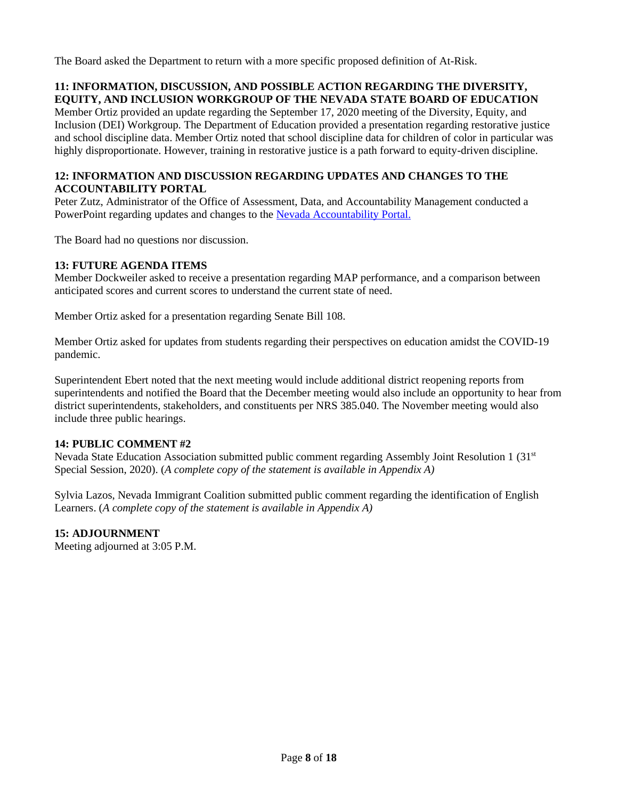The Board asked the Department to return with a more specific proposed definition of At-Risk.

# **11: INFORMATION, DISCUSSION, AND POSSIBLE ACTION REGARDING THE DIVERSITY, EQUITY, AND INCLUSION WORKGROUP OF THE NEVADA STATE BOARD OF EDUCATION**

Member Ortiz provided an update regarding the September 17, 2020 meeting of the Diversity, Equity, and Inclusion (DEI) Workgroup. The Department of Education provided a presentation regarding restorative justice and school discipline data. Member Ortiz noted that school discipline data for children of color in particular was highly disproportionate. However, training in restorative justice is a path forward to equity-driven discipline.

# **12: INFORMATION AND DISCUSSION REGARDING UPDATES AND CHANGES TO THE ACCOUNTABILITY PORTAL**

Peter Zutz, Administrator of the Office of Assessment, Data, and Accountability Management conducted a PowerPoint regarding updates and changes to the [Nevada Accountability Portal.](http://www.doe.nv.gov/uploadedFiles/ndedoenvgov/content/Boards_Commissions_Councils/State_Board_of_Education/2020/October/NVPortal%20Update%20for%2020.21_FINAL_9.14.2020.pdf)

The Board had no questions nor discussion.

### **13: FUTURE AGENDA ITEMS**

Member Dockweiler asked to receive a presentation regarding MAP performance, and a comparison between anticipated scores and current scores to understand the current state of need.

Member Ortiz asked for a presentation regarding Senate Bill 108.

Member Ortiz asked for updates from students regarding their perspectives on education amidst the COVID-19 pandemic.

Superintendent Ebert noted that the next meeting would include additional district reopening reports from superintendents and notified the Board that the December meeting would also include an opportunity to hear from district superintendents, stakeholders, and constituents per NRS 385.040. The November meeting would also include three public hearings.

# **14: PUBLIC COMMENT #2**

Nevada State Education Association submitted public comment regarding Assembly Joint Resolution 1 (31st Special Session, 2020). (*A complete copy of the statement is available in Appendix A)*

Sylvia Lazos, Nevada Immigrant Coalition submitted public comment regarding the identification of English Learners. (*A complete copy of the statement is available in Appendix A)*

# **15: ADJOURNMENT**

Meeting adjourned at 3:05 P.M.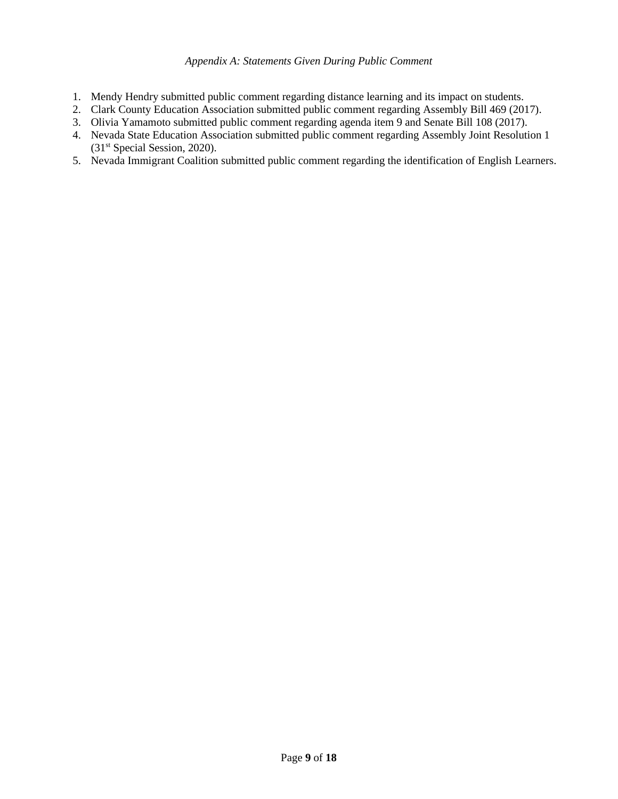### *Appendix A: Statements Given During Public Comment*

- 1. Mendy Hendry submitted public comment regarding distance learning and its impact on students.
- 2. Clark County Education Association submitted public comment regarding Assembly Bill 469 (2017).
- 3. Olivia Yamamoto submitted public comment regarding agenda item 9 and Senate Bill 108 (2017).
- 4. Nevada State Education Association submitted public comment regarding Assembly Joint Resolution 1 (31st Special Session, 2020).
- 5. Nevada Immigrant Coalition submitted public comment regarding the identification of English Learners.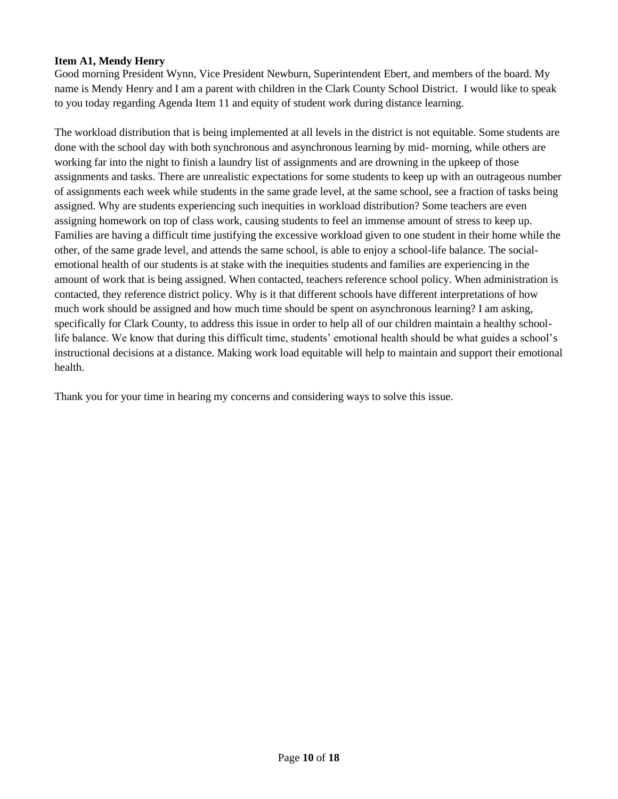# **Item A1, Mendy Henry**

Good morning President Wynn, Vice President Newburn, Superintendent Ebert, and members of the board. My name is Mendy Henry and I am a parent with children in the Clark County School District. I would like to speak to you today regarding Agenda Item 11 and equity of student work during distance learning.

The workload distribution that is being implemented at all levels in the district is not equitable. Some students are done with the school day with both synchronous and asynchronous learning by mid- morning, while others are working far into the night to finish a laundry list of assignments and are drowning in the upkeep of those assignments and tasks. There are unrealistic expectations for some students to keep up with an outrageous number of assignments each week while students in the same grade level, at the same school, see a fraction of tasks being assigned. Why are students experiencing such inequities in workload distribution? Some teachers are even assigning homework on top of class work, causing students to feel an immense amount of stress to keep up. Families are having a difficult time justifying the excessive workload given to one student in their home while the other, of the same grade level, and attends the same school, is able to enjoy a school-life balance. The socialemotional health of our students is at stake with the inequities students and families are experiencing in the amount of work that is being assigned. When contacted, teachers reference school policy. When administration is contacted, they reference district policy. Why is it that different schools have different interpretations of how much work should be assigned and how much time should be spent on asynchronous learning? I am asking, specifically for Clark County, to address this issue in order to help all of our children maintain a healthy schoollife balance. We know that during this difficult time, students' emotional health should be what guides a school's instructional decisions at a distance. Making work load equitable will help to maintain and support their emotional health.

Thank you for your time in hearing my concerns and considering ways to solve this issue.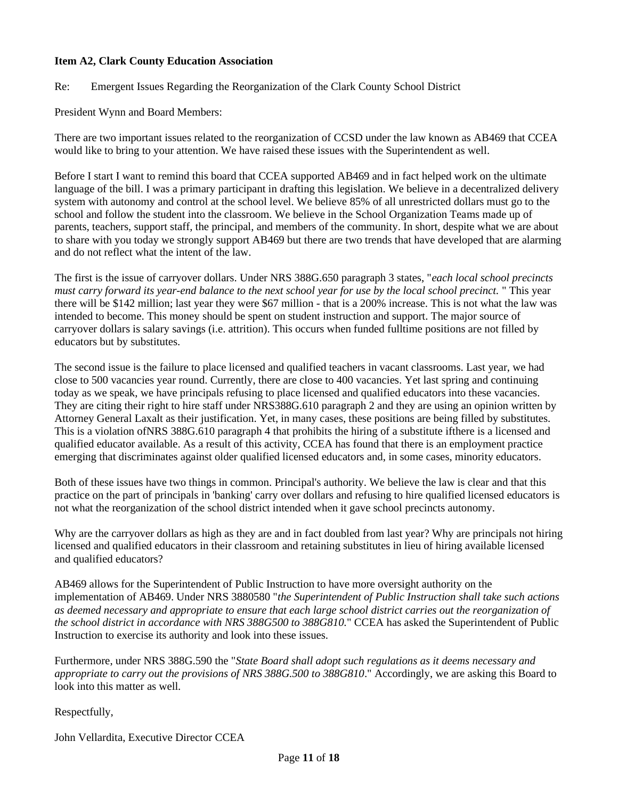# **Item A2, Clark County Education Association**

Re: Emergent Issues Regarding the Reorganization of the Clark County School District

President Wynn and Board Members:

There are two important issues related to the reorganization of CCSD under the law known as AB469 that CCEA would like to bring to your attention. We have raised these issues with the Superintendent as well.

Before I start I want to remind this board that CCEA supported AB469 and in fact helped work on the ultimate language of the bill. I was a primary participant in drafting this legislation. We believe in a decentralized delivery system with autonomy and control at the school level. We believe 85% of all unrestricted dollars must go to the school and follow the student into the classroom. We believe in the School Organization Teams made up of parents, teachers, support staff, the principal, and members of the community. In short, despite what we are about to share with you today we strongly support AB469 but there are two trends that have developed that are alarming and do not reflect what the intent of the law.

The first is the issue of carryover dollars. Under NRS 388G.650 paragraph 3 states, "*each local school precincts must carry forward its year-end balance to the next school year for use by the local school precinct.* " This year there will be \$142 million; last year they were \$67 million - that is a 200% increase. This is not what the law was intended to become. This money should be spent on student instruction and support. The major source of carryover dollars is salary savings (i.e. attrition). This occurs when funded fulltime positions are not filled by educators but by substitutes.

The second issue is the failure to place licensed and qualified teachers in vacant classrooms. Last year, we had close to 500 vacancies year round. Currently, there are close to 400 vacancies. Yet last spring and continuing today as we speak, we have principals refusing to place licensed and qualified educators into these vacancies. They are citing their right to hire staff under NRS388G.610 paragraph 2 and they are using an opinion written by Attorney General Laxalt as their justification. Yet, in many cases, these positions are being filled by substitutes. This is a violation ofNRS 388G.610 paragraph 4 that prohibits the hiring of a substitute ifthere is a licensed and qualified educator available. As a result of this activity, CCEA has found that there is an employment practice emerging that discriminates against older qualified licensed educators and, in some cases, minority educators.

Both of these issues have two things in common. Principal's authority. We believe the law is clear and that this practice on the part of principals in 'banking' carry over dollars and refusing to hire qualified licensed educators is not what the reorganization of the school district intended when it gave school precincts autonomy.

Why are the carryover dollars as high as they are and in fact doubled from last year? Why are principals not hiring licensed and qualified educators in their classroom and retaining substitutes in lieu of hiring available licensed and qualified educators?

AB469 allows for the Superintendent of Public Instruction to have more oversight authority on the implementation of AB469. Under NRS 3880580 "*the Superintendent of Public Instruction shall take such actions as deemed necessary and appropriate to ensure that each large school district carries out the reorganization of the school district in accordance with NRS 388G500 to 388G810.*" CCEA has asked the Superintendent of Public Instruction to exercise its authority and look into these issues.

Furthermore, under NRS 388G.590 the "*State Board shall adopt such regulations as it deems necessary and appropriate to carry out the provisions of NRS 388G.500 to 388G810*." Accordingly, we are asking this Board to look into this matter as well.

Respectfully,

John Vellardita, Executive Director CCEA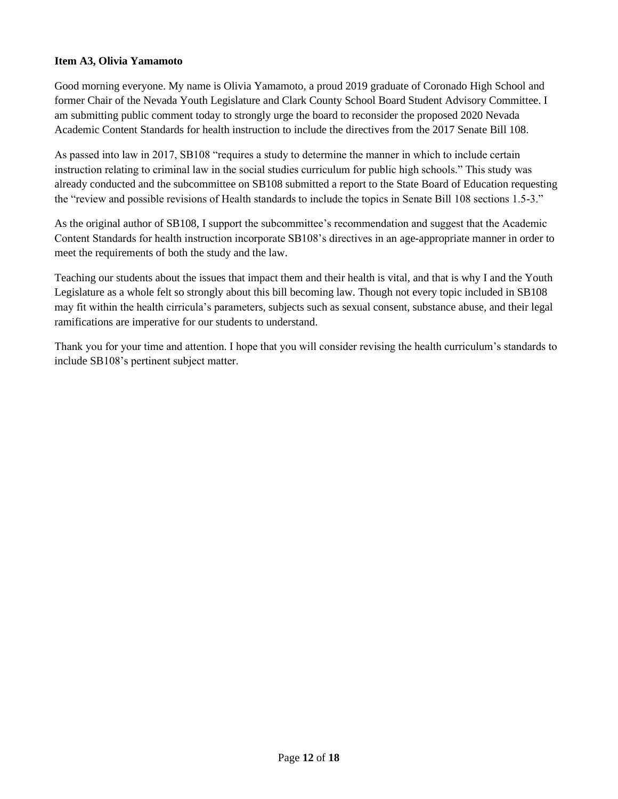# **Item A3, Olivia Yamamoto**

Good morning everyone. My name is Olivia Yamamoto, a proud 2019 graduate of Coronado High School and former Chair of the Nevada Youth Legislature and Clark County School Board Student Advisory Committee. I am submitting public comment today to strongly urge the board to reconsider the proposed 2020 Nevada Academic Content Standards for health instruction to include the directives from the 2017 Senate Bill 108.

As passed into law in 2017, SB108 "requires a study to determine the manner in which to include certain instruction relating to criminal law in the social studies curriculum for public high schools." This study was already conducted and the subcommittee on SB108 submitted a report to the State Board of Education requesting the "review and possible revisions of Health standards to include the topics in Senate Bill 108 sections 1.5-3."

As the original author of SB108, I support the subcommittee's recommendation and suggest that the Academic Content Standards for health instruction incorporate SB108's directives in an age-appropriate manner in order to meet the requirements of both the study and the law.

Teaching our students about the issues that impact them and their health is vital, and that is why I and the Youth Legislature as a whole felt so strongly about this bill becoming law. Though not every topic included in SB108 may fit within the health cirricula's parameters, subjects such as sexual consent, substance abuse, and their legal ramifications are imperative for our students to understand.

Thank you for your time and attention. I hope that you will consider revising the health curriculum's standards to include SB108's pertinent subject matter.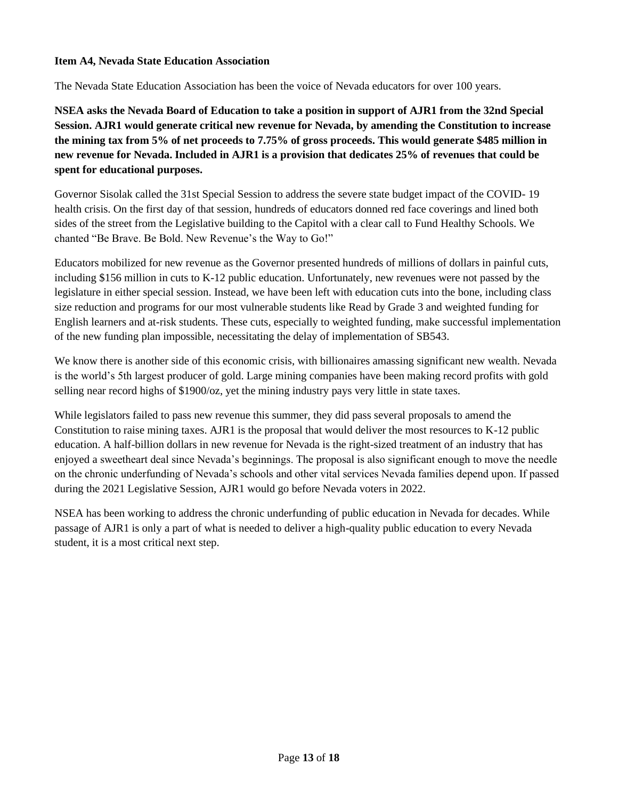# **Item A4, Nevada State Education Association**

The Nevada State Education Association has been the voice of Nevada educators for over 100 years.

**NSEA asks the Nevada Board of Education to take a position in support of AJR1 from the 32nd Special Session. AJR1 would generate critical new revenue for Nevada, by amending the Constitution to increase the mining tax from 5% of net proceeds to 7.75% of gross proceeds. This would generate \$485 million in new revenue for Nevada. Included in AJR1 is a provision that dedicates 25% of revenues that could be spent for educational purposes.**

Governor Sisolak called the 31st Special Session to address the severe state budget impact of the COVID- 19 health crisis. On the first day of that session, hundreds of educators donned red face coverings and lined both sides of the street from the Legislative building to the Capitol with a clear call to Fund Healthy Schools. We chanted "Be Brave. Be Bold. New Revenue's the Way to Go!"

Educators mobilized for new revenue as the Governor presented hundreds of millions of dollars in painful cuts, including \$156 million in cuts to K-12 public education. Unfortunately, new revenues were not passed by the legislature in either special session. Instead, we have been left with education cuts into the bone, including class size reduction and programs for our most vulnerable students like Read by Grade 3 and weighted funding for English learners and at-risk students. These cuts, especially to weighted funding, make successful implementation of the new funding plan impossible, necessitating the delay of implementation of SB543.

We know there is another side of this economic crisis, with billionaires amassing significant new wealth. Nevada is the world's 5th largest producer of gold. Large mining companies have been making record profits with gold selling near record highs of \$1900/oz, yet the mining industry pays very little in state taxes.

While legislators failed to pass new revenue this summer, they did pass several proposals to amend the Constitution to raise mining taxes. AJR1 is the proposal that would deliver the most resources to K-12 public education. A half-billion dollars in new revenue for Nevada is the right-sized treatment of an industry that has enjoyed a sweetheart deal since Nevada's beginnings. The proposal is also significant enough to move the needle on the chronic underfunding of Nevada's schools and other vital services Nevada families depend upon. If passed during the 2021 Legislative Session, AJR1 would go before Nevada voters in 2022.

NSEA has been working to address the chronic underfunding of public education in Nevada for decades. While passage of AJR1 is only a part of what is needed to deliver a high-quality public education to every Nevada student, it is a most critical next step.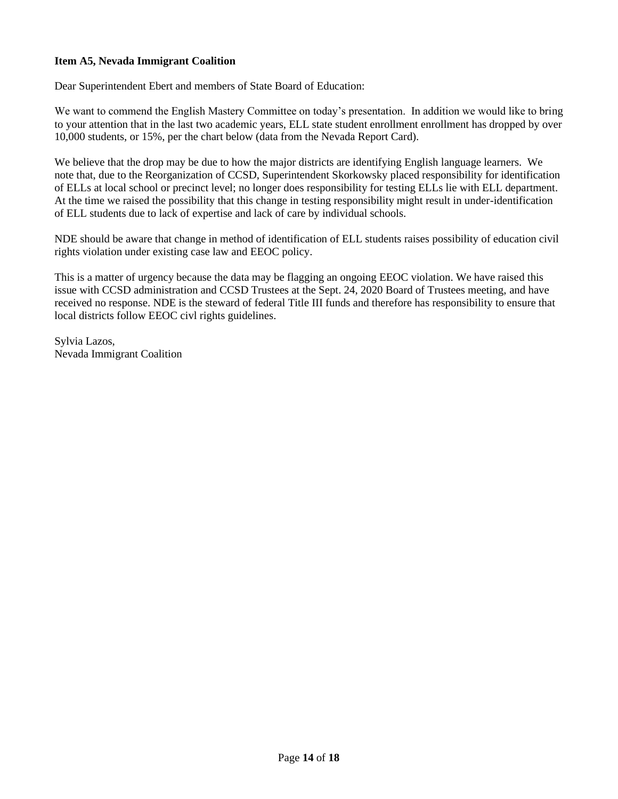# **Item A5, Nevada Immigrant Coalition**

Dear Superintendent Ebert and members of State Board of Education:

We want to commend the English Mastery Committee on today's presentation. In addition we would like to bring to your attention that in the last two academic years, ELL state student enrollment enrollment has dropped by over 10,000 students, or 15%, per the chart below (data from the Nevada Report Card).

We believe that the drop may be due to how the major districts are identifying English language learners. We note that, due to the Reorganization of CCSD, Superintendent Skorkowsky placed responsibility for identification of ELLs at local school or precinct level; no longer does responsibility for testing ELLs lie with ELL department. At the time we raised the possibility that this change in testing responsibility might result in under-identification of ELL students due to lack of expertise and lack of care by individual schools.

NDE should be aware that change in method of identification of ELL students raises possibility of education civil rights violation under existing case law and EEOC policy.

This is a matter of urgency because the data may be flagging an ongoing EEOC violation. We have raised this issue with CCSD administration and CCSD Trustees at the Sept. 24, 2020 Board of Trustees meeting, and have received no response. NDE is the steward of federal Title III funds and therefore has responsibility to ensure that local districts follow EEOC civl rights guidelines.

Sylvia Lazos, Nevada Immigrant Coalition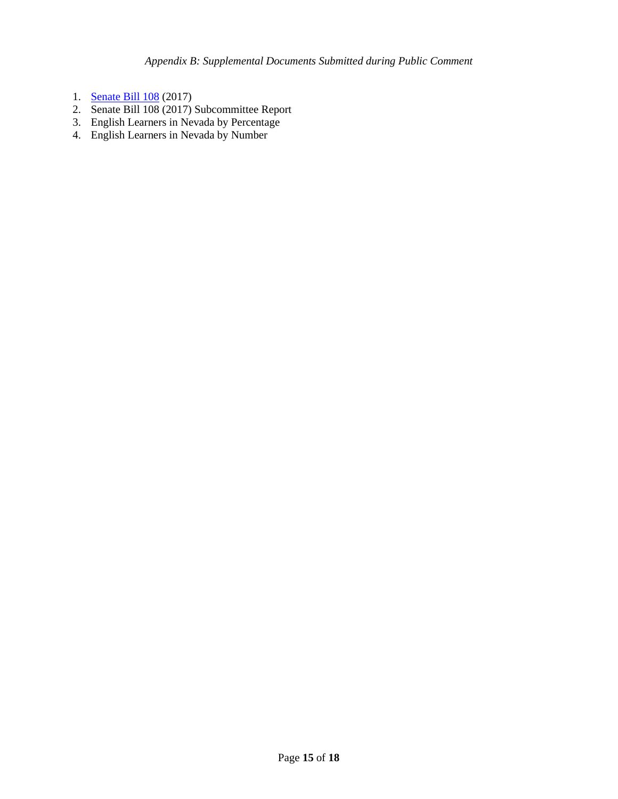- 1. [Senate Bill 108](https://www.leg.state.nv.us/App/NELIS/REL/79th2017/Bill/4852/Text) (2017)
- 2. Senate Bill 108 (2017) Subcommittee Report
- 3. English Learners in Nevada by Percentage
- 4. English Learners in Nevada by Number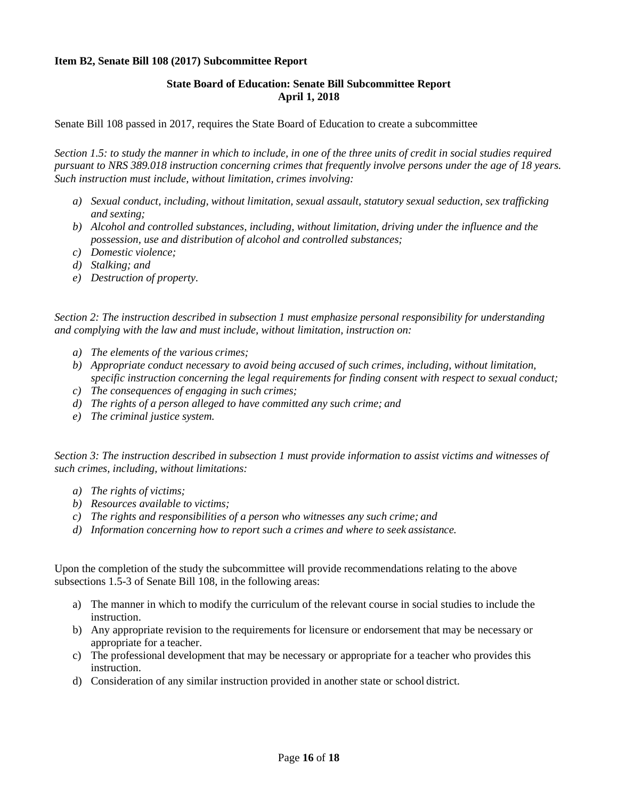### **Item B2, Senate Bill 108 (2017) Subcommittee Report**

### **State Board of Education: Senate Bill Subcommittee Report April 1, 2018**

Senate Bill 108 passed in 2017, requires the State Board of Education to create a subcommittee

*Section 1.5: to study the manner in which to include, in one of the three units of credit in social studies required pursuant to NRS 389.018 instruction concerning crimes that frequently involve persons under the age of 18 years. Such instruction must include, without limitation, crimes involving:*

- *a) Sexual conduct, including, without limitation, sexual assault, statutory sexual seduction, sex trafficking and sexting;*
- *b) Alcohol and controlled substances, including, without limitation, driving under the influence and the possession, use and distribution of alcohol and controlled substances;*
- *c) Domestic violence;*
- *d) Stalking; and*
- *e) Destruction of property.*

*Section 2: The instruction described in subsection 1 must emphasize personal responsibility for understanding and complying with the law and must include, without limitation, instruction on:*

- *a) The elements of the various crimes;*
- *b) Appropriate conduct necessary to avoid being accused of such crimes, including, without limitation, specific instruction concerning the legal requirements for finding consent with respect to sexual conduct;*
- *c) The consequences of engaging in such crimes;*
- *d) The rights of a person alleged to have committed any such crime; and*
- *e) The criminal justice system.*

*Section 3: The instruction described in subsection 1 must provide information to assist victims and witnesses of such crimes, including, without limitations:*

- *a) The rights of victims;*
- *b) Resources available to victims;*
- *c) The rights and responsibilities of a person who witnesses any such crime; and*
- *d) Information concerning how to report such a crimes and where to seek assistance.*

Upon the completion of the study the subcommittee will provide recommendations relating to the above subsections 1.5-3 of Senate Bill 108, in the following areas:

- a) The manner in which to modify the curriculum of the relevant course in social studies to include the instruction.
- b) Any appropriate revision to the requirements for licensure or endorsement that may be necessary or appropriate for a teacher.
- c) The professional development that may be necessary or appropriate for a teacher who provides this instruction.
- d) Consideration of any similar instruction provided in another state or school district.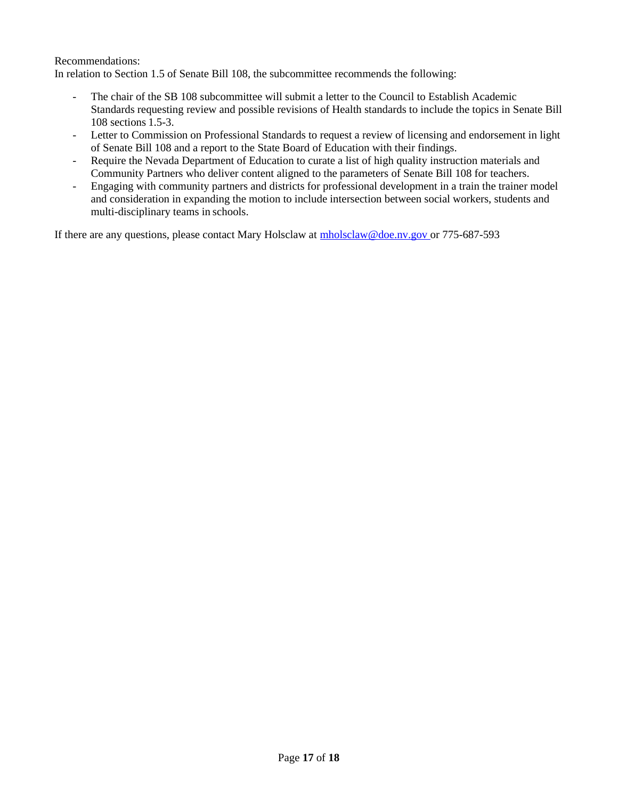Recommendations:

In relation to Section 1.5 of Senate Bill 108, the subcommittee recommends the following:

- The chair of the SB 108 subcommittee will submit a letter to the Council to Establish Academic Standards requesting review and possible revisions of Health standards to include the topics in Senate Bill 108 sections 1.5-3.
- Letter to Commission on Professional Standards to request a review of licensing and endorsement in light of Senate Bill 108 and a report to the State Board of Education with their findings.
- Require the Nevada Department of Education to curate a list of high quality instruction materials and Community Partners who deliver content aligned to the parameters of Senate Bill 108 for teachers.
- Engaging with community partners and districts for professional development in a train the trainer model and consideration in expanding the motion to include intersection between social workers, students and multi-disciplinary teams in schools.

If there are any questions, please contact Mary Holsclaw at  $\frac{\text{mholsclaw@doe.nv.gov}}{\text{mholsclaw@doe.nv.gov}}$  or 775-687-593